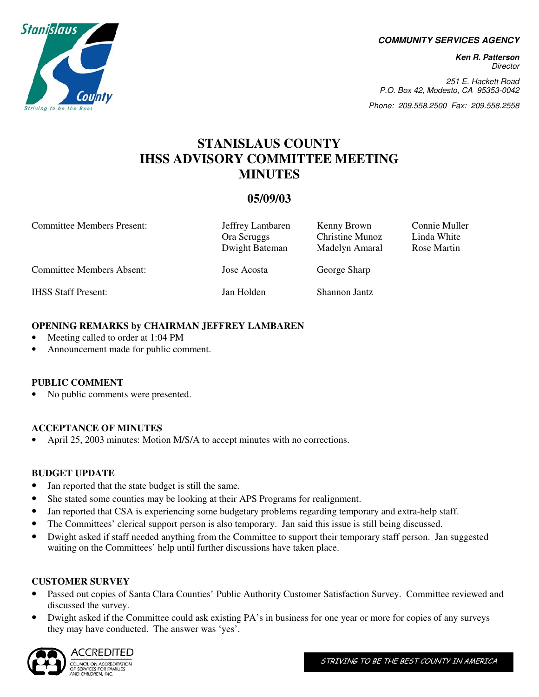**COMMUNITY SERVICES AGENCY** 

**Ken R. Patterson**  Director

251 E. Hackett Road P.O. Box 42, Modesto, CA 95353-0042

Phone: 209.558.2500 Fax: 209.558.2558

# **STANISLAUS COUNTY IHSS ADVISORY COMMITTEE MEETING MINUTES**

## **05/09/03**

| <b>Committee Members Present:</b> | Jeffrey Lambaren<br>Ora Scruggs<br>Dwight Bateman | Kenny Brown<br><b>Christine Munoz</b><br>Madelyn Amaral | Connie Muller<br>Linda White<br>Rose Martin |
|-----------------------------------|---------------------------------------------------|---------------------------------------------------------|---------------------------------------------|
| <b>Committee Members Absent:</b>  | Jose Acosta                                       | George Sharp                                            |                                             |
| <b>IHSS Staff Present:</b>        | Jan Holden                                        | Shannon Jantz                                           |                                             |

#### **OPENING REMARKS by CHAIRMAN JEFFREY LAMBAREN**

- Meeting called to order at 1:04 PM
- Announcement made for public comment.

#### **PUBLIC COMMENT**

No public comments were presented.

#### **ACCEPTANCE OF MINUTES**

• April 25, 2003 minutes: Motion M/S/A to accept minutes with no corrections.

#### **BUDGET UPDATE**

- Jan reported that the state budget is still the same.
- She stated some counties may be looking at their APS Programs for realignment.
- Jan reported that CSA is experiencing some budgetary problems regarding temporary and extra-help staff.
- The Committees' clerical support person is also temporary. Jan said this issue is still being discussed.
- Dwight asked if staff needed anything from the Committee to support their temporary staff person. Jan suggested waiting on the Committees' help until further discussions have taken place.

#### **CUSTOMER SURVEY**

- Passed out copies of Santa Clara Counties' Public Authority Customer Satisfaction Survey. Committee reviewed and discussed the survey.
- Dwight asked if the Committee could ask existing PA's in business for one year or more for copies of any surveys they may have conducted. The answer was 'yes'.



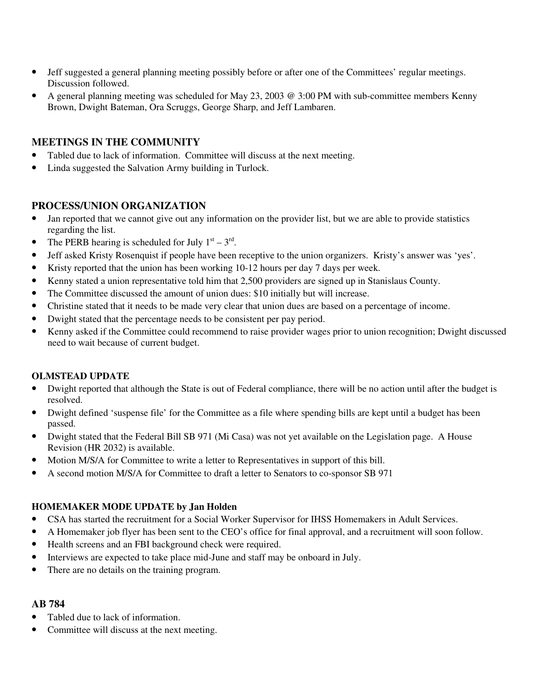- Jeff suggested a general planning meeting possibly before or after one of the Committees' regular meetings. Discussion followed.
- A general planning meeting was scheduled for May 23, 2003 @ 3:00 PM with sub-committee members Kenny Brown, Dwight Bateman, Ora Scruggs, George Sharp, and Jeff Lambaren.

## **MEETINGS IN THE COMMUNITY**

- Tabled due to lack of information. Committee will discuss at the next meeting.
- Linda suggested the Salvation Army building in Turlock.

### **PROCESS/UNION ORGANIZATION**

- Jan reported that we cannot give out any information on the provider list, but we are able to provide statistics regarding the list.
- The PERB hearing is scheduled for July  $1<sup>st</sup> 3<sup>rd</sup>$ .
- Jeff asked Kristy Rosenquist if people have been receptive to the union organizers. Kristy's answer was 'yes'.
- Kristy reported that the union has been working 10-12 hours per day 7 days per week.
- Kenny stated a union representative told him that 2,500 providers are signed up in Stanislaus County.
- The Committee discussed the amount of union dues: \$10 initially but will increase.
- Christine stated that it needs to be made very clear that union dues are based on a percentage of income.
- Dwight stated that the percentage needs to be consistent per pay period.
- Kenny asked if the Committee could recommend to raise provider wages prior to union recognition; Dwight discussed need to wait because of current budget.

#### **OLMSTEAD UPDATE**

- Dwight reported that although the State is out of Federal compliance, there will be no action until after the budget is resolved.
- Dwight defined 'suspense file' for the Committee as a file where spending bills are kept until a budget has been passed.
- Dwight stated that the Federal Bill SB 971 (Mi Casa) was not yet available on the Legislation page. A House Revision (HR 2032) is available.
- Motion M/S/A for Committee to write a letter to Representatives in support of this bill.
- A second motion M/S/A for Committee to draft a letter to Senators to co-sponsor SB 971

#### **HOMEMAKER MODE UPDATE by Jan Holden**

- CSA has started the recruitment for a Social Worker Supervisor for IHSS Homemakers in Adult Services.
- A Homemaker job flyer has been sent to the CEO's office for final approval, and a recruitment will soon follow.
- Health screens and an FBI background check were required.
- Interviews are expected to take place mid-June and staff may be onboard in July.
- There are no details on the training program.

#### **AB 784**

- Tabled due to lack of information.
- Committee will discuss at the next meeting.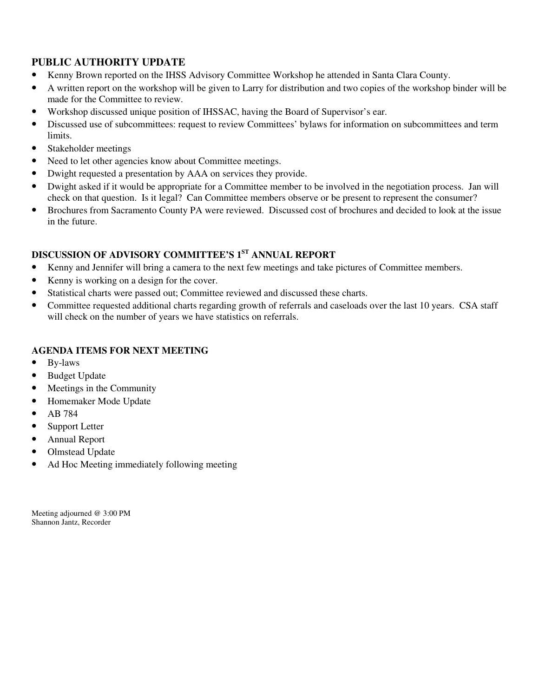## **PUBLIC AUTHORITY UPDATE**

- Kenny Brown reported on the IHSS Advisory Committee Workshop he attended in Santa Clara County.
- A written report on the workshop will be given to Larry for distribution and two copies of the workshop binder will be made for the Committee to review.
- Workshop discussed unique position of IHSSAC, having the Board of Supervisor's ear.
- Discussed use of subcommittees: request to review Committees' bylaws for information on subcommittees and term limits.
- Stakeholder meetings
- Need to let other agencies know about Committee meetings.
- Dwight requested a presentation by AAA on services they provide.
- Dwight asked if it would be appropriate for a Committee member to be involved in the negotiation process. Jan will check on that question. Is it legal? Can Committee members observe or be present to represent the consumer?
- Brochures from Sacramento County PA were reviewed. Discussed cost of brochures and decided to look at the issue in the future.

# **DISCUSSION OF ADVISORY COMMITTEE'S 1ST ANNUAL REPORT**

- Kenny and Jennifer will bring a camera to the next few meetings and take pictures of Committee members.
- Kenny is working on a design for the cover.
- Statistical charts were passed out; Committee reviewed and discussed these charts.
- Committee requested additional charts regarding growth of referrals and caseloads over the last 10 years. CSA staff will check on the number of years we have statistics on referrals.

## **AGENDA ITEMS FOR NEXT MEETING**

- By-laws
- Budget Update
- Meetings in the Community
- Homemaker Mode Update
- AB 784
- Support Letter
- Annual Report
- Olmstead Update
- Ad Hoc Meeting immediately following meeting

Meeting adjourned @ 3:00 PM Shannon Jantz, Recorder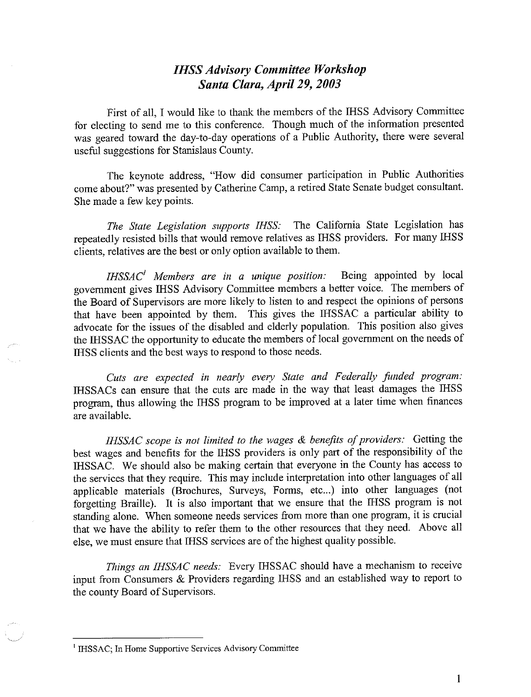# **IHSS Advisory Committee Workshop** Santa Clara, April 29, 2003

First of all, I would like to thank the members of the IHSS Advisory Committee for electing to send me to this conference. Though much of the information presented was geared toward the day-to-day operations of a Public Authority, there were several useful suggestions for Stanislaus County.

The keynote address, "How did consumer participation in Public Authorities come about?" was presented by Catherine Camp, a retired State Senate budget consultant. She made a few key points.

The State Legislation supports IHSS: The California State Legislation has repeatedly resisted bills that would remove relatives as IHSS providers. For many IHSS clients, relatives are the best or only option available to them.

 $IHSSAC<sup>1</sup>$  Members are in a unique position: Being appointed by local government gives IHSS Advisory Committee members a better voice. The members of the Board of Supervisors are more likely to listen to and respect the opinions of persons that have been appointed by them. This gives the IHSSAC a particular ability to advocate for the issues of the disabled and elderly population. This position also gives the IHSSAC the opportunity to educate the members of local government on the needs of IHSS clients and the best ways to respond to those needs.

Cuts are expected in nearly every State and Federally funded program: IHSSACs can ensure that the cuts are made in the way that least damages the IHSS program, thus allowing the IHSS program to be improved at a later time when finances are available.

IHSSAC scope is not limited to the wages & benefits of providers: Getting the best wages and benefits for the IHSS providers is only part of the responsibility of the IHSSAC. We should also be making certain that everyone in the County has access to the services that they require. This may include interpretation into other languages of all applicable materials (Brochures, Surveys, Forms, etc...) into other languages (not forgetting Braille). It is also important that we ensure that the IHSS program is not standing alone. When someone needs services from more than one program, it is crucial that we have the ability to refer them to the other resources that they need. Above all else, we must ensure that IHSS services are of the highest quality possible.

Things an IHSSAC needs: Every IHSSAC should have a mechanism to receive input from Consumers & Providers regarding IHSS and an established way to report to the county Board of Supervisors.

<sup>&</sup>lt;sup>1</sup> IHSSAC; In Home Supportive Services Advisory Committee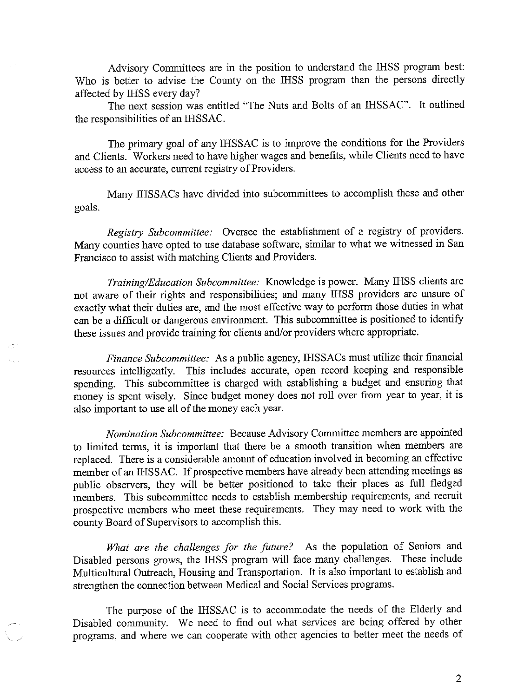Advisory Committees are in the position to understand the IHSS program best: Who is better to advise the County on the IHSS program than the persons directly affected by IHSS every day?

The next session was entitled "The Nuts and Bolts of an IHSSAC". It outlined the responsibilities of an IHSSAC.

The primary goal of any IHSSAC is to improve the conditions for the Providers and Clients. Workers need to have higher wages and benefits, while Clients need to have access to an accurate, current registry of Providers.

Many IHSSACs have divided into subcommittees to accomplish these and other goals.

Registry Subcommittee: Oversee the establishment of a registry of providers. Many counties have opted to use database software, similar to what we witnessed in San Francisco to assist with matching Clients and Providers.

Training/Education Subcommittee: Knowledge is power. Many IHSS clients are not aware of their rights and responsibilities; and many IHSS providers are unsure of exactly what their duties are, and the most effective way to perform those duties in what can be a difficult or dangerous environment. This subcommittee is positioned to identify these issues and provide training for clients and/or providers where appropriate.

Finance Subcommittee: As a public agency, IHSSACs must utilize their financial resources intelligently. This includes accurate, open record keeping and responsible spending. This subcommittee is charged with establishing a budget and ensuring that money is spent wisely. Since budget money does not roll over from year to year, it is also important to use all of the money each year.

Nomination Subcommittee: Because Advisory Committee members are appointed to limited terms, it is important that there be a smooth transition when members are replaced. There is a considerable amount of education involved in becoming an effective member of an IHSSAC. If prospective members have already been attending meetings as public observers, they will be better positioned to take their places as full fledged members. This subcommittee needs to establish membership requirements, and recruit prospective members who meet these requirements. They may need to work with the county Board of Supervisors to accomplish this.

What are the challenges for the future? As the population of Seniors and Disabled persons grows, the IHSS program will face many challenges. These include Multicultural Outreach, Housing and Transportation. It is also important to establish and strengthen the connection between Medical and Social Services programs.

The purpose of the IHSSAC is to accommodate the needs of the Elderly and Disabled community. We need to find out what services are being offered by other programs, and where we can cooperate with other agencies to better meet the needs of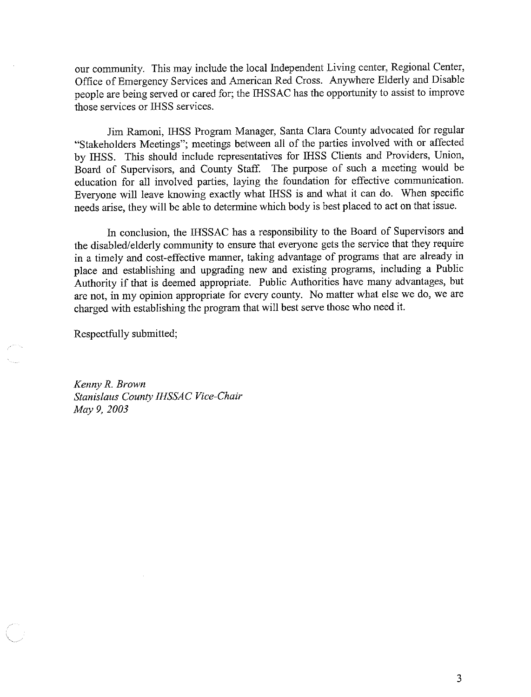our community. This may include the local Independent Living center, Regional Center, Office of Emergency Services and American Red Cross. Anywhere Elderly and Disable people are being served or cared for; the IHSSAC has the opportunity to assist to improve those services or IHSS services.

Jim Ramoni, IHSS Program Manager, Santa Clara County advocated for regular "Stakeholders Meetings"; meetings between all of the parties involved with or affected by IHSS. This should include representatives for IHSS Clients and Providers, Union, Board of Supervisors, and County Staff. The purpose of such a meeting would be education for all involved parties, laying the foundation for effective communication. Everyone will leave knowing exactly what IHSS is and what it can do. When specific needs arise, they will be able to determine which body is best placed to act on that issue.

In conclusion, the IHSSAC has a responsibility to the Board of Supervisors and the disabled/elderly community to ensure that everyone gets the service that they require in a timely and cost-effective manner, taking advantage of programs that are already in place and establishing and upgrading new and existing programs, including a Public Authority if that is deemed appropriate. Public Authorities have many advantages, but are not, in my opinion appropriate for every county. No matter what else we do, we are charged with establishing the program that will best serve those who need it.

Respectfully submitted;

Kenny R. Brown Stanislaus County IHSSAC Vice-Chair May 9, 2003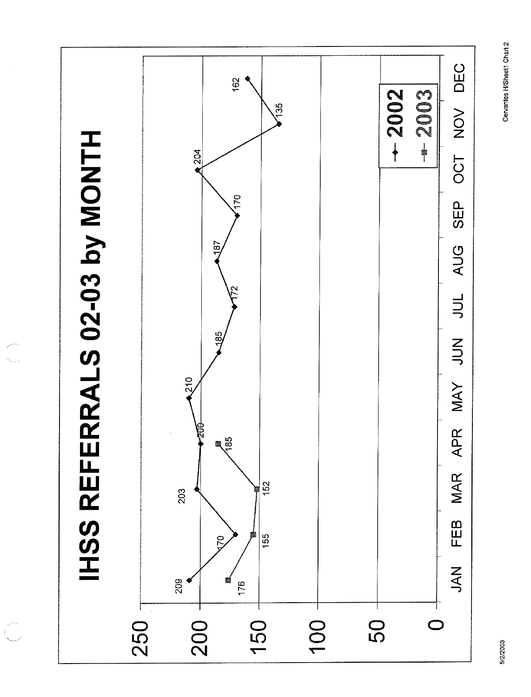Cervantes H/Sheet1 Chart 2



 $\begin{bmatrix} 1 & 1 & 1 \\ 1 & 1 & 1 \\ 1 & 1 & 1 \\ 1 & 1 & 1 \end{bmatrix}$ 

5/2/2003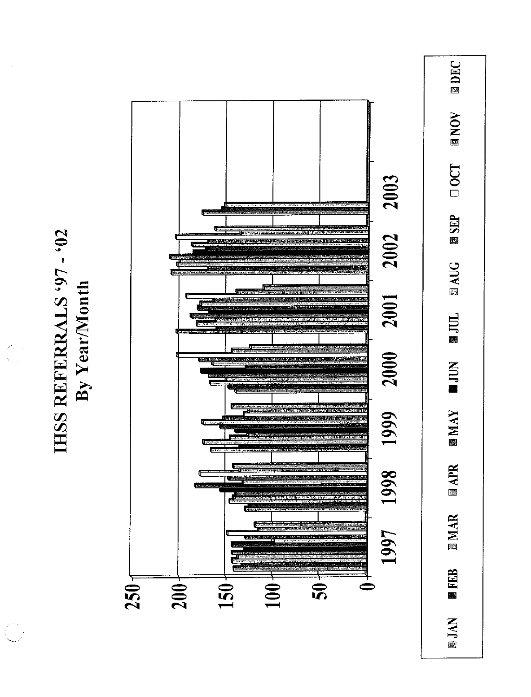

IHSS REFERRALS '97 - '02 By Year/Month

 $\bigcap_{\gamma_{\text{max}}}^{\mathcal{L}_{\gamma_{\text{max}}}}$ 

 $\mathcal{C}^{\mathcal{C}^{\mathcal{C}^{\mathcal{C}}}}$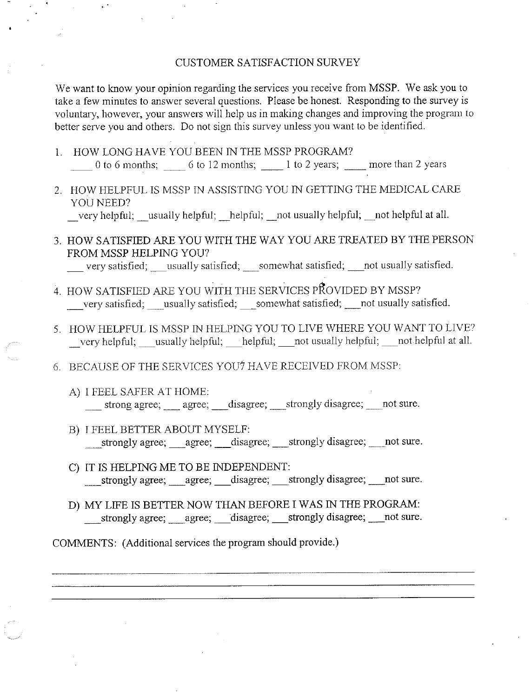#### CUSTOMER SATISFACTION SURVEY

We want to know your opinion regarding the services you receive from MSSP. We ask you to take a few minutes to answer several questions. Please be honest. Responding to the survey is voluntary, however, your answers will help us in making changes and improving the program to better serve you and others. Do not sign this survey unless you want to be identified.

- 1. HOW LONG HAVE YOU BEEN IN THE MSSP PROGRAM? 0 to 6 months;  $\qquad$  6 to 12 months;  $\qquad$  1 to 2 years;  $\qquad$  more than 2 years
- 2. HOW HELPFUL IS MSSP IN ASSISTING YOU IN GETTING THE MEDICAL CARE YOU NEED? very helpful; usually helpful; helpful; not usually helpful; not helpful at all.
- 3. HOW SATISFIED ARE YOU WITH THE WAY YOU ARE TREATED BY THE PERSON FROM MSSP HELPING YOU?

very satisfied; usually satisfied; somewhat satisfied; not usually satisfied.

- 4. HOW SATISFIED ARE YOU WITH THE SERVICES PROVIDED BY MSSP? very satisfied; usually satisfied; \_somewhat satisfied; \_ not usually satisfied.
- 5. HOW HELPFUL IS MSSP IN HELPING YOU TO LIVE WHERE YOU WANT TO LIVE? very helpful; usually helpful; helpful; not usually helpful; not helpful at all.
- 6. BECAUSE OF THE SERVICES YOU? HAVE RECEIVED FROM MSSP:
	- A) I FEEL SAFER AT HOME: \_\_\_ strong agree; \_\_\_ agree; \_\_\_ disagree; \_\_\_ strongly disagree; \_\_\_ not sure.
	- B) I FEEL BETTER ABOUT MYSELF: \_strongly agree; \_\_\_agree; \_\_\_disagree; \_\_\_strongly disagree; \_\_\_\_not sure.
	- C) IT IS HELPING ME TO BE INDEPENDENT: strongly agree; agree; disagree; strongly disagree; not sure.
	- D) MY LIFE IS BETTER NOW THAN BEFORE I WAS IN THE PROGRAM:

COMMENTS: (Additional services the program should provide.)